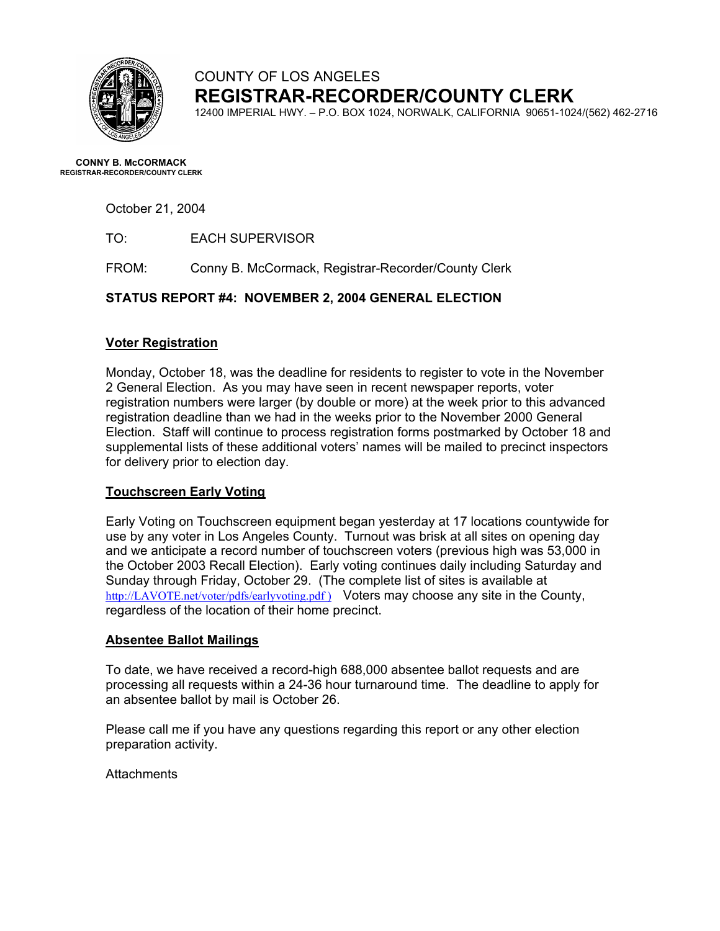

# COUNTY OF LOS ANGELES **REGISTRAR-RECORDER/COUNTY CLERK**

12400 IMPERIAL HWY. – P.O. BOX 1024, NORWALK, CALIFORNIA 90651-1024/(562) 462-2716

**CONNY B. McCORMACK REGISTRAR-RECORDER/COUNTY CLERK** 

October 21, 2004

TO: EACH SUPERVISOR

FROM: Conny B. McCormack, Registrar-Recorder/County Clerk

### **STATUS REPORT #4: NOVEMBER 2, 2004 GENERAL ELECTION**

### **Voter Registration**

Monday, October 18, was the deadline for residents to register to vote in the November 2 General Election. As you may have seen in recent newspaper reports, voter registration numbers were larger (by double or more) at the week prior to this advanced registration deadline than we had in the weeks prior to the November 2000 General Election. Staff will continue to process registration forms postmarked by October 18 and supplemental lists of these additional voters' names will be mailed to precinct inspectors for delivery prior to election day.

### **Touchscreen Early Voting**

Early Voting on Touchscreen equipment began yesterday at 17 locations countywide for use by any voter in Los Angeles County. Turnout was brisk at all sites on opening day and we anticipate a record number of touchscreen voters (previous high was 53,000 in the October 2003 Recall Election). Early voting continues daily including Saturday and Sunday through Friday, October 29. (The complete list of sites is available at [http://LAVOTE.net/voter/pdfs/earlyvoting.pdf](http://lavote.net/voter/pdfs/earlyvoting.pdf)) Voters may choose any site in the County, regardless of the location of their home precinct.

### **Absentee Ballot Mailings**

To date, we have received a record-high 688,000 absentee ballot requests and are processing all requests within a 24-36 hour turnaround time. The deadline to apply for an absentee ballot by mail is October 26.

Please call me if you have any questions regarding this report or any other election preparation activity.

**Attachments**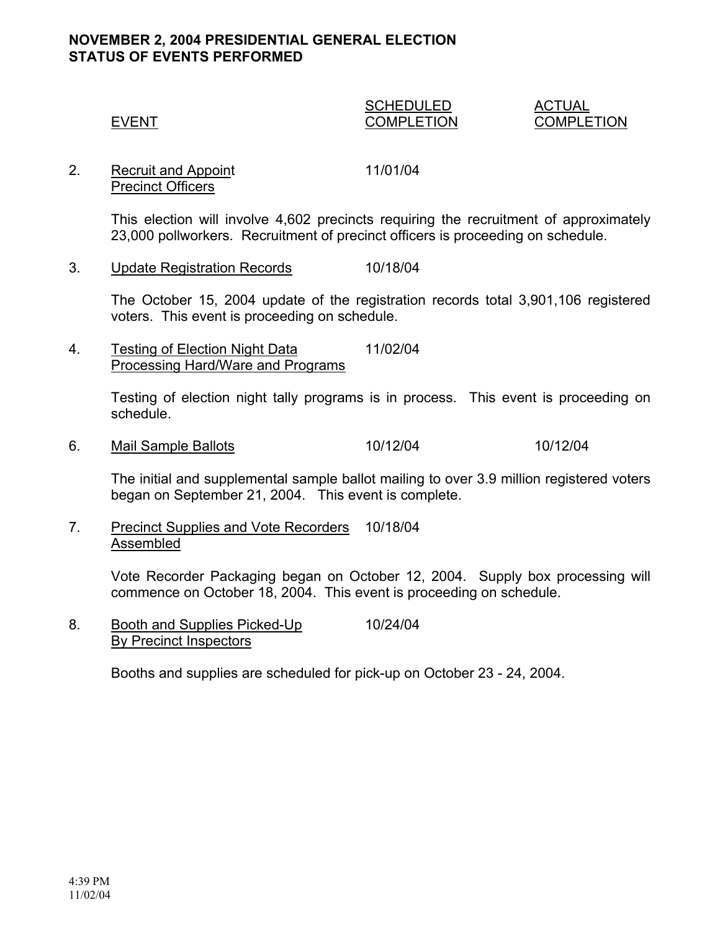## **NOVEMBER 2, 2004 PRESIDENTIAL GENERAL ELECTION STATUS OF EVENTS PERFORMED**

## SCHEDULED ACTUAL EVENT COMPLETION COMPLETION

2. Recruit and Appoint 11/01/04 Precinct Officers

> This election will involve 4,602 precincts requiring the recruitment of approximately 23,000 pollworkers. Recruitment of precinct officers is proceeding on schedule.

3. Update Registration Records 10/18/04

The October 15, 2004 update of the registration records total 3,901,106 registered voters. This event is proceeding on schedule.

4. Testing of Election Night Data 11/02/04 Processing Hard/Ware and Programs

> Testing of election night tally programs is in process. This event is proceeding on schedule.

6. Mail Sample Ballots 10/12/04 10/12/04

The initial and supplemental sample ballot mailing to over 3.9 million registered voters began on September 21, 2004. This event is complete.

7. Precinct Supplies and Vote Recorders 10/18/04 Assembled

> Vote Recorder Packaging began on October 12, 2004. Supply box processing will commence on October 18, 2004. This event is proceeding on schedule.

8. Booth and Supplies Picked-Up 10/24/04 By Precinct Inspectors

Booths and supplies are scheduled for pick-up on October 23 - 24, 2004.